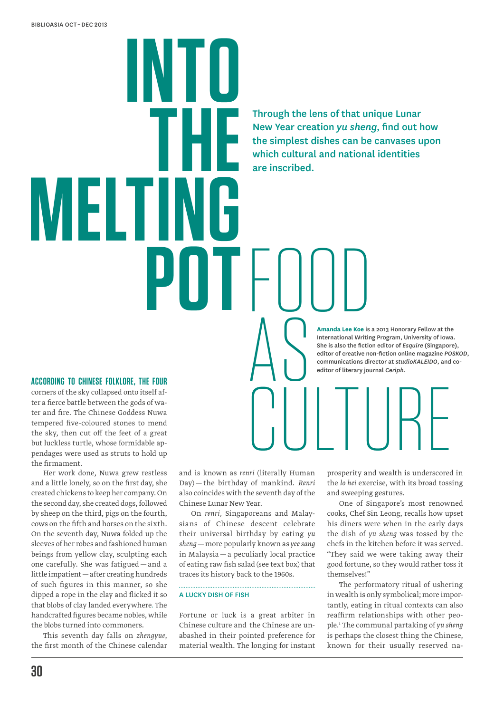**into the MFI pot**FOOD

Through the lens of that unique Lunar New Year creation *yu sheng*, find out how the simplest dishes can be canvases upon which cultural and national identities are inscribed.

> **Amanda Lee Koe** is a 2013 Honorary Fellow at the International Writing Program, University of Iowa. She is also the fiction editor of *Esquire* (Singapore), editor of creative non-fiction online magazine *POSKOD*, communications director at *studioKALEIDO*, and coeditor of literary journal *Ceriph*.

**According to Chinese folklore, the four** corners of the sky collapsed onto itself after a fierce battle between the gods of water and fire. The Chinese Goddess Nuwa tempered five-coloured stones to mend the sky, then cut off the feet of a great but luckless turtle, whose formidable appendages were used as struts to hold up the firmament.

Her work done, Nuwa grew restless and a little lonely, so on the first day, she created chickens to keep her company. On the second day, she created dogs, followed by sheep on the third, pigs on the fourth, cows on the fifth and horses on the sixth. On the seventh day, Nuwa folded up the sleeves of her robes and fashioned human beings from yellow clay, sculpting each one carefully. She was fatigued — and a little impatient—after creating hundreds of such figures in this manner, so she dipped a rope in the clay and flicked it so that blobs of clay landed everywhere. The handcrafted figures became nobles, while the blobs turned into commoners.

This seventh day falls on *zhengyue*, the first month of the Chinese calendar

and is known as *renri* (literally Human Day) — the birthday of mankind. *Renri* also coincides with the seventh day of the Chinese Lunar New Year.

AS

On *renri,* Singaporeans and Malaysians of Chinese descent celebrate their universal birthday by eating *yu sheng*—more popularly known as *yee sang* in Malaysia—a peculiarly local practice of eating raw fish salad (see text box) that traces its history back to the 1960s.

## A Lucky Dish of Fish

Fortune or luck is a great arbiter in Chinese culture and the Chinese are unabashed in their pointed preference for material wealth. The longing for instant

**CULTUR** prosperity and wealth is underscored in the *lo hei* exercise, with its broad tossing and sweeping gestures.

> One of Singapore's most renowned cooks, Chef Sin Leong, recalls how upset his diners were when in the early days the dish of *yu sheng* was tossed by the chefs in the kitchen before it was served. "They said we were taking away their good fortune, so they would rather toss it themselves!"

> The performatory ritual of ushering in wealth is only symbolical; more importantly, eating in ritual contexts can also reaffirm relationships with other people.1 The communal partaking of *yu sheng* is perhaps the closest thing the Chinese, known for their usually reserved na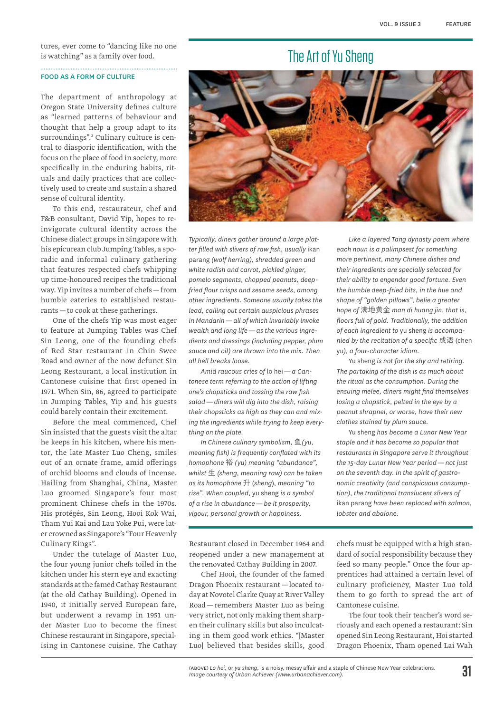tures, ever come to "dancing like no one is watching" as a family over food. 

## Food as a Form of Culture

The department of anthropology at Oregon State University defines culture as "learned patterns of behaviour and thought that help a group adapt to its surroundings".2 Culinary culture is central to diasporic identification, with the focus on the place of food in society, more specifically in the enduring habits, rituals and daily practices that are collectively used to create and sustain a shared sense of cultural identity.

To this end, restaurateur, chef and F&B consultant, David Yip, hopes to reinvigorate cultural identity across the Chinese dialect groups in Singapore with his epicurean club Jumping Tables, a sporadic and informal culinary gathering that features respected chefs whipping up time-honoured recipes the traditional way. Yip invites a number of chefs—from humble eateries to established restaurants—to cook at these gatherings.

One of the chefs Yip was most eager to feature at Jumping Tables was Chef Sin Leong, one of the founding chefs of Red Star restaurant in Chin Swee Road and owner of the now defunct Sin Leong Restaurant, a local institution in Cantonese cuisine that first opened in 1971. When Sin, 86, agreed to participate in Jumping Tables, Yip and his guests could barely contain their excitement.

Before the meal commenced, Chef Sin insisted that the guests visit the altar he keeps in his kitchen, where his mentor, the late Master Luo Cheng, smiles out of an ornate frame, amid offerings of orchid blooms and clouds of incense. Hailing from Shanghai, China, Master Luo groomed Singapore's four most prominent Chinese chefs in the 1970s. His protégés, Sin Leong, Hooi Kok Wai, Tham Yui Kai and Lau Yoke Pui, were later crowned as Singapore's "Four Heavenly Culinary Kings".

Under the tutelage of Master Luo, the four young junior chefs toiled in the kitchen under his stern eye and exacting standards at the famed Cathay Restaurant (at the old Cathay Building). Opened in 1940, it initially served European fare, but underwent a revamp in 1951 under Master Luo to become the finest Chinese restaurant in Singapore, specialising in Cantonese cuisine. The Cathay

# The Art of Yu Sheng



*Typically, diners gather around a large platter filled with slivers of raw fish, usually* ikan parang *(wolf herring), shredded green and white radish and carrot, pickled ginger, pomelo segments, chopped peanuts, deepfried flour crisps and sesame seeds, among other ingredients. Someone usually takes the lead, calling out certain auspicious phrases in Mandarin — all of which invariably invoke wealth and long life — as the various ingredients and dressings (including pepper, plum sauce and oil) are thrown into the mix. Then all hell breaks loose.*

*Amid raucous cries of* lo hei*— a Cantonese term referring to the action of lifting one's chopsticks and tossing the raw fish salad — diners will dig into the dish, raising their chopsticks as high as they can and mixing the ingredients while trying to keep everything on the plate.*

*In Chinese culinary symbolism,* 鱼*(yu, meaning fish) is frequently conflated with its homophone* 裕 *(yu) meaning "abundance", whilst* 生 *(sheng, meaning raw) can be taken as its homophone* 升 (*sheng*), *meaning "to rise". When coupled,* yu sheng *is a symbol of a rise in abundance — be it prosperity, vigour, personal growth or happiness.*

Restaurant closed in December 1964 and reopened under a new management at the renovated Cathay Building in 2007.

Chef Hooi, the founder of the famed Dragon Phoenix restaurant—located today at Novotel Clarke Quay at River Valley Road—remembers Master Luo as being very strict, not only making them sharpen their culinary skills but also inculcating in them good work ethics. "[Master Luo] believed that besides skills, good

*Like a layered Tang dynasty poem where each noun is a palimpsest for something more pertinent, many Chinese dishes and their ingredients are specially selected for their ability to engender good fortune. Even the humble deep-fried bits, in the hue and shape of "golden pillows", belie a greater hope of* 满地黄金 *man di huang jin, that is, floors full of gold. Traditionally, the addition of each ingredient to* yu sheng *is accompanied by the recitation of a specific* 成语 (chen yu*), a four-character idiom.*

Yu sheng *is not for the shy and retiring. The partaking of the dish is as much about the ritual as the consumption. During the ensuing melee, diners might find themselves losing a chopstick, pelted in the eye by a peanut shrapnel, or worse, have their new clothes stained by plum sauce.*

Yu sheng *has become a Lunar New Year staple and it has become so popular that restaurants in Singapore serve it throughout the 15-day Lunar New Year period — not just on the seventh day. In the spirit of gastronomic creativity (and conspicuous consumption), the traditional translucent slivers of*  ikan parang *have been replaced with salmon, lobster and abalone.*

chefs must be equipped with a high standard of social responsibility because they feed so many people." Once the four apprentices had attained a certain level of culinary proficiency, Master Luo told them to go forth to spread the art of Cantonese cuisine.

The four took their teacher's word seriously and each opened a restaurant: Sin opened Sin Leong Restaurant, Hoi started Dragon Phoenix, Tham opened Lai Wah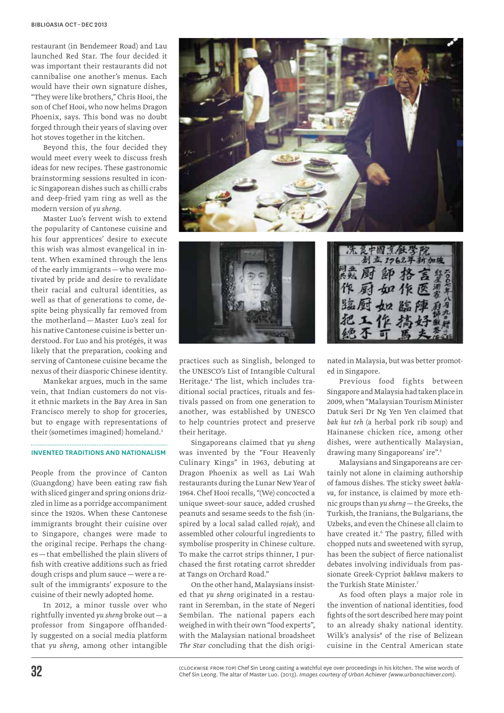restaurant (in Bendemeer Road) and Lau launched Red Star. The four decided it was important their restaurants did not cannibalise one another's menus. Each would have their own signature dishes, "They were like brothers," Chris Hooi, the son of Chef Hooi, who now helms Dragon Phoenix, says. This bond was no doubt forged through their years of slaving over hot stoves together in the kitchen.

Beyond this, the four decided they would meet every week to discuss fresh ideas for new recipes. These gastronomic brainstorming sessions resulted in iconic Singaporean dishes such as chilli crabs and deep-fried yam ring as well as the modern version of *yu sheng*.

Master Luo's fervent wish to extend the popularity of Cantonese cuisine and his four apprentices' desire to execute this wish was almost evangelical in intent. When examined through the lens of the early immigrants—who were motivated by pride and desire to revalidate their racial and cultural identities, as well as that of generations to come, despite being physically far removed from the motherland — Master Luo's zeal for his native Cantonese cuisine is better understood. For Luo and his protégés, it was likely that the preparation, cooking and serving of Cantonese cuisine became the nexus of their diasporic Chinese identity.

Mankekar argues, much in the same vein, that Indian customers do not visit ethnic markets in the Bay Area in San Francisco merely to shop for groceries, but to engage with representations of their (sometimes imagined) homeland.3

## Invented Traditions and Nationalism

People from the province of Canton (Guangdong) have been eating raw fish with sliced ginger and spring onions drizzled in lime as a porridge accompaniment since the 1920s. When these Cantonese immigrants brought their cuisine over to Singapore, changes were made to the original recipe. Perhaps the changes—that embellished the plain slivers of fish with creative additions such as fried dough crisps and plum sauce—were a result of the immigrants' exposure to the cuisine of their newly adopted home.

In 2012, a minor tussle over who rightfully invented *yu sheng* broke out—a professor from Singapore offhandedly suggested on a social media platform that *yu sheng*, among other intangible





practices such as Singlish, belonged to the UNESCO's List of Intangible Cultural Heritage.4 The list, which includes traditional social practices, rituals and festivals passed on from one generation to another, was established by UNESCO to help countries protect and preserve their heritage.

Singaporeans claimed that *yu sheng* was invented by the "Four Heavenly Culinary Kings" in 1963, debuting at Dragon Phoenix as well as Lai Wah restaurants during the Lunar New Year of 1964. Chef Hooi recalls, "(We) concocted a unique sweet-sour sauce, added crushed peanuts and sesame seeds to the fish (inspired by a local salad called *rojak*), and assembled other colourful ingredients to symbolise prosperity in Chinese culture. To make the carrot strips thinner, I purchased the first rotating carrot shredder at Tangs on Orchard Road."

On the other hand, Malaysians insisted that *yu sheng* originated in a restaurant in Seremban, in the state of Negeri Sembilan. The national papers each weighed in with their own "food experts", with the Malaysian national broadsheet *The Star* concluding that the dish origi-



nated in Malaysia, but was better promoted in Singapore.

Previous food fights between Singapore and Malaysia had taken place in 2009, when "Malaysian Tourism Minister Datuk Seri Dr Ng Yen Yen claimed that *bak kut teh* (a herbal pork rib soup) and Hainanese chicken rice, among other dishes, were authentically Malaysian, drawing many Singaporeans' ire".5

Malaysians and Singaporeans are certainly not alone in claiming authorship of famous dishes. The sticky sweet *baklava*, for instance, is claimed by more ethnic groups than *yu sheng*—the Greeks, the Turkish, the Iranians, the Bulgarians, the Uzbeks, and even the Chinese all claim to have created it.<sup>6</sup> The pastry, filled with chopped nuts and sweetened with syrup, has been the subject of fierce nationalist debates involving individuals from passionate Greek-Cypriot *baklava* makers to the Turkish State Minister.7

As food often plays a major role in the invention of national identities, food fights of the sort described here may point to an already shaky national identity. Wilk's analysis<sup>8</sup> of the rise of Belizean cuisine in the Central American state